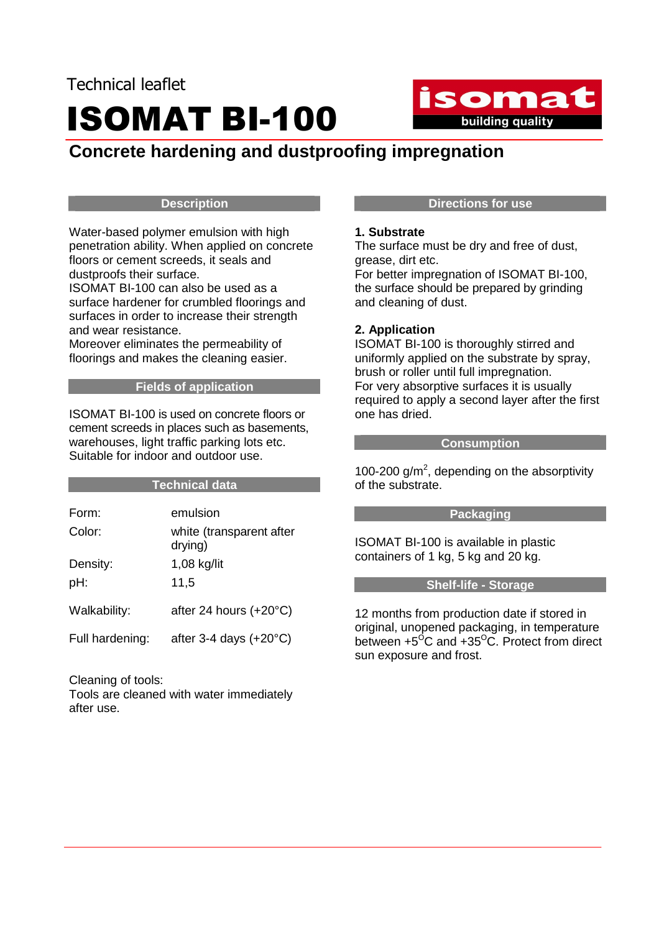

# **Concrete hardening and dustproofing impregnation**

#### **Description**

Water-based polymer emulsion with high penetration ability. When applied on concrete floors or cement screeds, it seals and dustproofs their surface.

ISOMAT BI-100 can also be used as a surface hardener for crumbled floorings and surfaces in order to increase their strength and wear resistance.

Moreover eliminates the permeability of floorings and makes the cleaning easier.

# **Fields of application**

ISOMAT BI-100 is used on concrete floors or cement screeds in places such as basements, warehouses, light traffic parking lots etc. Suitable for indoor and outdoor use.

### **Technical data**

| Form:           | emulsion                            |
|-----------------|-------------------------------------|
| Color:          | white (transparent after<br>drying) |
| Density:        | $1,08$ kg/lit                       |
| pH:             | 11,5                                |
| Walkability:    | after 24 hours $(+20^{\circ}C)$     |
| Full hardening: | after 3-4 days $(+20^{\circ}C)$     |

Cleaning of tools:

Tools are cleaned with water immediately after use.

## **Directions for use**

#### **1. Substrate**

The surface must be dry and free of dust, grease, dirt etc.

For better impregnation of ISOMAT BI-100, the surface should be prepared by grinding and cleaning of dust.

### **2. Application**

ISOMAT BI-100 is thoroughly stirred and uniformly applied on the substrate by spray, brush or roller until full impregnation. For very absorptive surfaces it is usually required to apply a second layer after the first one has dried.

#### **Consumption**

100-200  $g/m^2$ , depending on the absorptivity of the substrate.

### **Packaging**

ISOMAT BI-100 is available in plastic containers of 1 kg, 5 kg and 20 kg.

#### **Shelf-life - Storage**

12 months from production date if stored in original, unopened packaging, in temperature between  $+5^{\circ}$ C and  $+35^{\circ}$ C. Protect from direct sun exposure and frost.